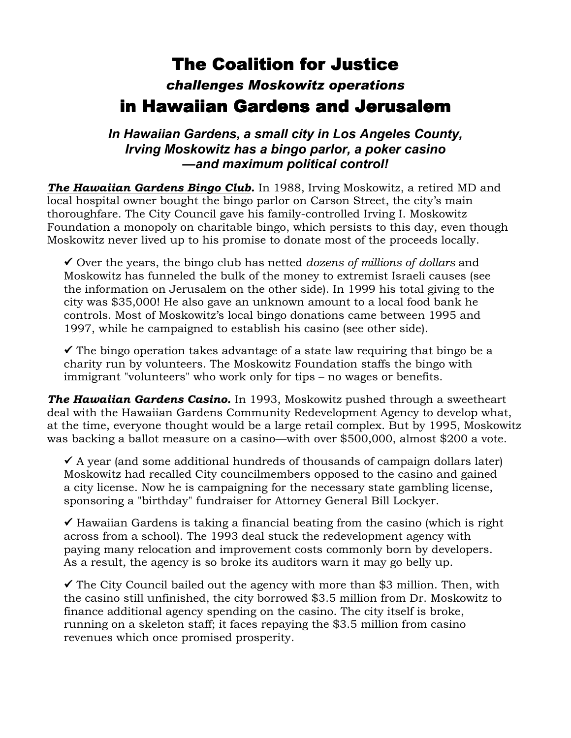## The Coalition for Justice *challenges Moskowitz operations* in Hawaiian Gardens and Jerusalem

*In Hawaiian Gardens, a small city in Los Angeles County, Irving Moskowitz has a bingo parlor, a poker casino —and maximum political control!*

*The Hawaiian Gardens Bingo Club.* In 1988, Irving Moskowitz, a retired MD and local hospital owner bought the bingo parlor on Carson Street, the city's main thoroughfare. The City Council gave his family-controlled Irving I. Moskowitz Foundation a monopoly on charitable bingo, which persists to this day, even though Moskowitz never lived up to his promise to donate most of the proceeds locally.

9 Over the years, the bingo club has netted *dozens of millions of dollars* and Moskowitz has funneled the bulk of the money to extremist Israeli causes (see the information on Jerusalem on the other side). In 1999 his total giving to the city was \$35,000! He also gave an unknown amount to a local food bank he controls. Most of Moskowitz's local bingo donations came between 1995 and 1997, while he campaigned to establish his casino (see other side).

 $\checkmark$  The bingo operation takes advantage of a state law requiring that bingo be a charity run by volunteers. The Moskowitz Foundation staffs the bingo with immigrant "volunteers" who work only for tips – no wages or benefits.

*The Hawaiian Gardens Casino.* In 1993, Moskowitz pushed through a sweetheart deal with the Hawaiian Gardens Community Redevelopment Agency to develop what, at the time, everyone thought would be a large retail complex. But by 1995, Moskowitz was backing a ballot measure on a casino—with over \$500,000, almost \$200 a vote.

 $\checkmark$  A year (and some additional hundreds of thousands of campaign dollars later) Moskowitz had recalled City councilmembers opposed to the casino and gained a city license. Now he is campaigning for the necessary state gambling license, sponsoring a "birthday" fundraiser for Attorney General Bill Lockyer.

 $\checkmark$  Hawaiian Gardens is taking a financial beating from the casino (which is right across from a school). The 1993 deal stuck the redevelopment agency with paying many relocation and improvement costs commonly born by developers. As a result, the agency is so broke its auditors warn it may go belly up.

 $\checkmark$  The City Council bailed out the agency with more than \$3 million. Then, with the casino still unfinished, the city borrowed \$3.5 million from Dr. Moskowitz to finance additional agency spending on the casino. The city itself is broke, running on a skeleton staff; it faces repaying the \$3.5 million from casino revenues which once promised prosperity.